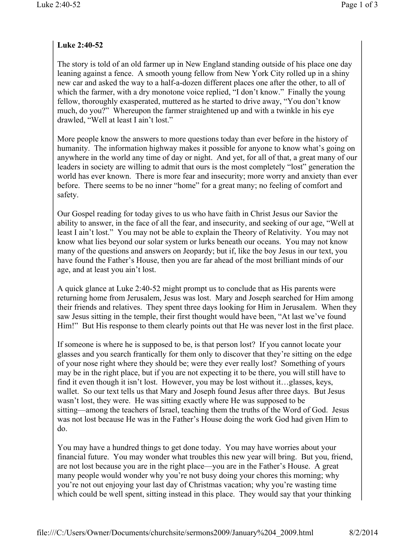## **Luke 2:40-52**

The story is told of an old farmer up in New England standing outside of his place one day leaning against a fence. A smooth young fellow from New York City rolled up in a shiny new car and asked the way to a half-a-dozen different places one after the other, to all of which the farmer, with a dry monotone voice replied, "I don't know." Finally the young fellow, thoroughly exasperated, muttered as he started to drive away, "You don't know much, do you?" Whereupon the farmer straightened up and with a twinkle in his eye drawled, "Well at least I ain't lost."

More people know the answers to more questions today than ever before in the history of humanity. The information highway makes it possible for anyone to know what's going on anywhere in the world any time of day or night. And yet, for all of that, a great many of our leaders in society are willing to admit that ours is the most completely "lost" generation the world has ever known. There is more fear and insecurity; more worry and anxiety than ever before. There seems to be no inner "home" for a great many; no feeling of comfort and safety.

Our Gospel reading for today gives to us who have faith in Christ Jesus our Savior the ability to answer, in the face of all the fear, and insecurity, and seeking of our age, "Well at least I ain't lost." You may not be able to explain the Theory of Relativity. You may not know what lies beyond our solar system or lurks beneath our oceans. You may not know many of the questions and answers on Jeopardy; but if, like the boy Jesus in our text, you have found the Father's House, then you are far ahead of the most brilliant minds of our age, and at least you ain't lost.

A quick glance at Luke 2:40-52 might prompt us to conclude that as His parents were returning home from Jerusalem, Jesus was lost. Mary and Joseph searched for Him among their friends and relatives. They spent three days looking for Him in Jerusalem. When they saw Jesus sitting in the temple, their first thought would have been, "At last we've found Him!" But His response to them clearly points out that He was never lost in the first place.

If someone is where he is supposed to be, is that person lost? If you cannot locate your glasses and you search frantically for them only to discover that they're sitting on the edge of your nose right where they should be; were they ever really lost? Something of yours may be in the right place, but if you are not expecting it to be there, you will still have to find it even though it isn't lost. However, you may be lost without it…glasses, keys, wallet. So our text tells us that Mary and Joseph found Jesus after three days. But Jesus wasn't lost, they were. He was sitting exactly where He was supposed to be sitting—among the teachers of Israel, teaching them the truths of the Word of God. Jesus was not lost because He was in the Father's House doing the work God had given Him to do.

You may have a hundred things to get done today. You may have worries about your financial future. You may wonder what troubles this new year will bring. But you, friend, are not lost because you are in the right place—you are in the Father's House. A great many people would wonder why you're not busy doing your chores this morning; why you're not out enjoying your last day of Christmas vacation; why you're wasting time which could be well spent, sitting instead in this place. They would say that your thinking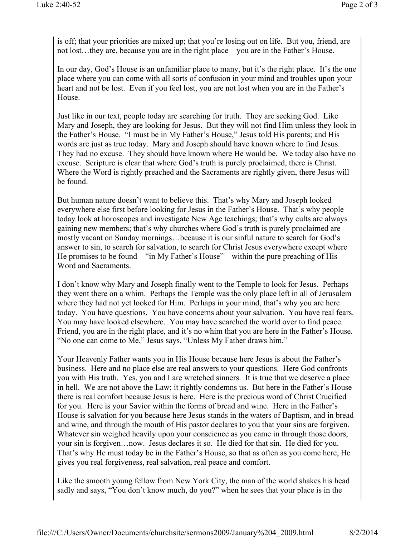is off; that your priorities are mixed up; that you're losing out on life. But you, friend, are not lost…they are, because you are in the right place—you are in the Father's House.

In our day, God's House is an unfamiliar place to many, but it's the right place. It's the one place where you can come with all sorts of confusion in your mind and troubles upon your heart and not be lost. Even if you feel lost, you are not lost when you are in the Father's House.

Just like in our text, people today are searching for truth. They are seeking God. Like Mary and Joseph, they are looking for Jesus. But they will not find Him unless they look in the Father's House. "I must be in My Father's House," Jesus told His parents; and His words are just as true today. Mary and Joseph should have known where to find Jesus. They had no excuse. They should have known where He would be. We today also have no excuse. Scripture is clear that where God's truth is purely proclaimed, there is Christ. Where the Word is rightly preached and the Sacraments are rightly given, there Jesus will be found.

But human nature doesn't want to believe this. That's why Mary and Joseph looked everywhere else first before looking for Jesus in the Father's House. That's why people today look at horoscopes and investigate New Age teachings; that's why cults are always gaining new members; that's why churches where God's truth is purely proclaimed are mostly vacant on Sunday mornings…because it is our sinful nature to search for God's answer to sin, to search for salvation, to search for Christ Jesus everywhere except where He promises to be found—"in My Father's House"—within the pure preaching of His Word and Sacraments.

I don't know why Mary and Joseph finally went to the Temple to look for Jesus. Perhaps they went there on a whim. Perhaps the Temple was the only place left in all of Jerusalem where they had not yet looked for Him. Perhaps in your mind, that's why you are here today. You have questions. You have concerns about your salvation. You have real fears. You may have looked elsewhere. You may have searched the world over to find peace. Friend, you are in the right place, and it's no whim that you are here in the Father's House. "No one can come to Me," Jesus says, "Unless My Father draws him."

Your Heavenly Father wants you in His House because here Jesus is about the Father's business. Here and no place else are real answers to your questions. Here God confronts you with His truth. Yes, you and I are wretched sinners. It is true that we deserve a place in hell. We are not above the Law; it rightly condemns us. But here in the Father's House there is real comfort because Jesus is here. Here is the precious word of Christ Crucified for you. Here is your Savior within the forms of bread and wine. Here in the Father's House is salvation for you because here Jesus stands in the waters of Baptism, and in bread and wine, and through the mouth of His pastor declares to you that your sins are forgiven. Whatever sin weighed heavily upon your conscience as you came in through those doors, your sin is forgiven…now. Jesus declares it so. He died for that sin. He died for you. That's why He must today be in the Father's House, so that as often as you come here, He gives you real forgiveness, real salvation, real peace and comfort.

Like the smooth young fellow from New York City, the man of the world shakes his head sadly and says, "You don't know much, do you?" when he sees that your place is in the